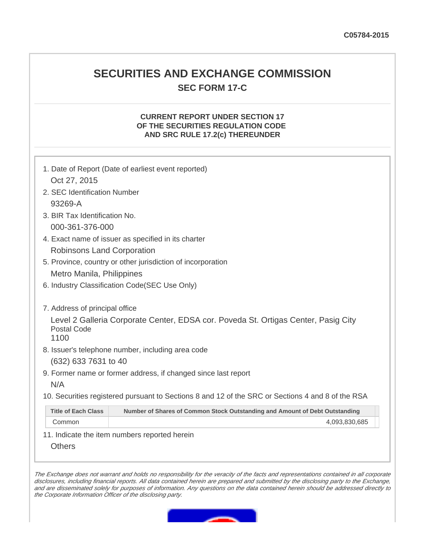## **SECURITIES AND EXCHANGE COMMISSION SEC FORM 17-C**

## **CURRENT REPORT UNDER SECTION 17 OF THE SECURITIES REGULATION CODE AND SRC RULE 17.2(c) THEREUNDER**

|                                                             | 1. Date of Report (Date of earliest event reported)                                               |
|-------------------------------------------------------------|---------------------------------------------------------------------------------------------------|
| Oct 27, 2015                                                |                                                                                                   |
| 2. SEC Identification Number                                |                                                                                                   |
| 93269-A                                                     |                                                                                                   |
| 3. BIR Tax Identification No.                               |                                                                                                   |
| 000-361-376-000                                             |                                                                                                   |
| 4. Exact name of issuer as specified in its charter         |                                                                                                   |
| Robinsons Land Corporation                                  |                                                                                                   |
| 5. Province, country or other jurisdiction of incorporation |                                                                                                   |
| Metro Manila, Philippines                                   |                                                                                                   |
|                                                             | 6. Industry Classification Code(SEC Use Only)                                                     |
| 7. Address of principal office                              |                                                                                                   |
| <b>Postal Code</b><br>1100                                  | Level 2 Galleria Corporate Center, EDSA cor. Poveda St. Ortigas Center, Pasig City                |
|                                                             | 8. Issuer's telephone number, including area code                                                 |
| (632) 633 7631 to 40                                        |                                                                                                   |
|                                                             | 9. Former name or former address, if changed since last report                                    |
| N/A                                                         |                                                                                                   |
|                                                             | 10. Securities registered pursuant to Sections 8 and 12 of the SRC or Sections 4 and 8 of the RSA |
| <b>Title of Each Class</b>                                  | Number of Shares of Common Stock Outstanding and Amount of Debt Outstanding                       |
| Common                                                      | 4,093,830,685                                                                                     |
|                                                             | 11. Indicate the item numbers reported herein                                                     |

**Others** 

The Exchange does not warrant and holds no responsibility for the veracity of the facts and representations contained in all corporate disclosures, including financial reports. All data contained herein are prepared and submitted by the disclosing party to the Exchange, and are disseminated solely for purposes of information. Any questions on the data contained herein should be addressed directly to the Corporate Information Officer of the disclosing party.